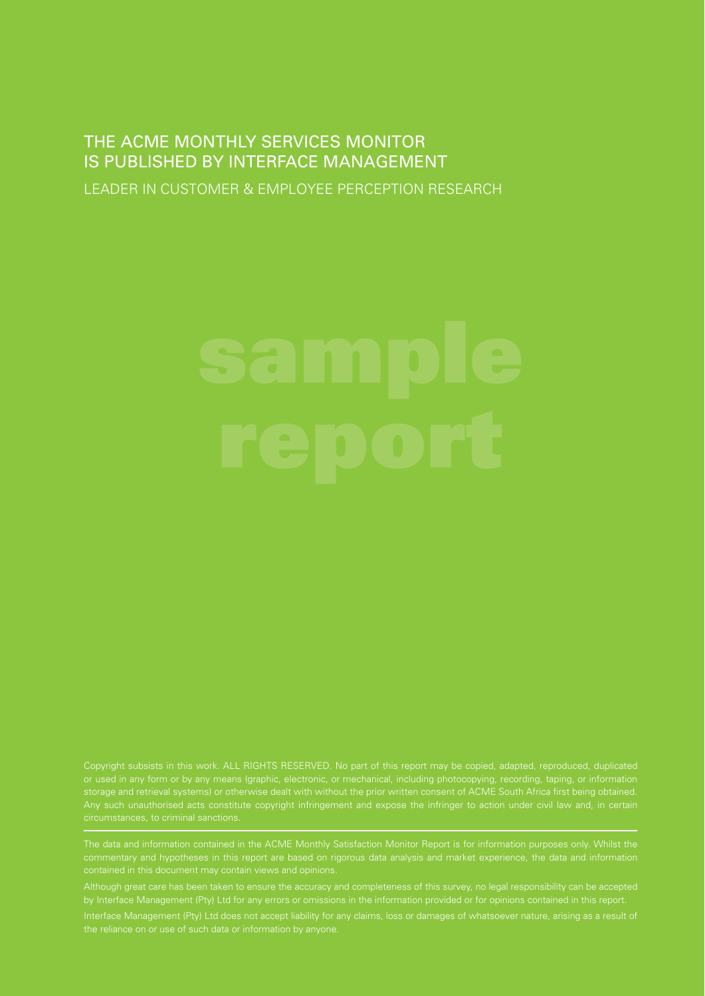## THE ACME MONTHLY SERVICES MONITOR IS PUBLISHED BY INTERFACE MANAGEMENT

LEADER IN CUSTOMER & EMPLOYEE PERCEPTION RESEARCH